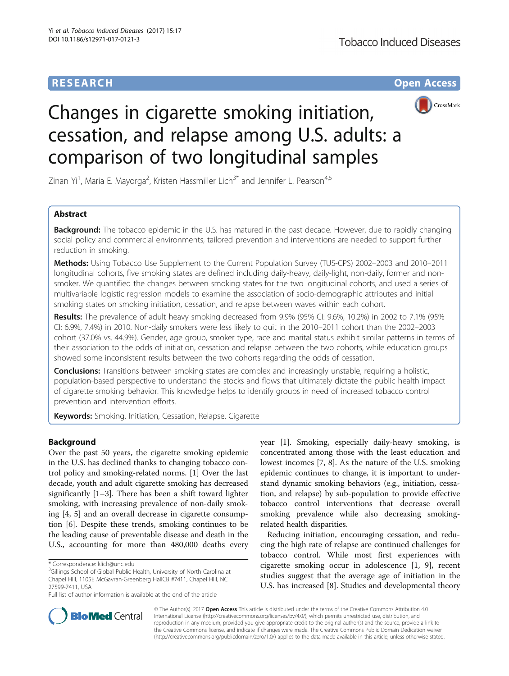# **RESEARCH CHE Open Access**



# Changes in cigarette smoking initiation, cessation, and relapse among U.S. adults: a comparison of two longitudinal samples

Zinan Yi<sup>1</sup>, Maria E. Mayorga<sup>2</sup>, Kristen Hassmiller Lich<sup>3\*</sup> and Jennifer L. Pearson<sup>4,5</sup>

# Abstract

**Background:** The tobacco epidemic in the U.S. has matured in the past decade. However, due to rapidly changing social policy and commercial environments, tailored prevention and interventions are needed to support further reduction in smoking.

Methods: Using Tobacco Use Supplement to the Current Population Survey (TUS-CPS) 2002-2003 and 2010-2011 longitudinal cohorts, five smoking states are defined including daily-heavy, daily-light, non-daily, former and nonsmoker. We quantified the changes between smoking states for the two longitudinal cohorts, and used a series of multivariable logistic regression models to examine the association of socio-demographic attributes and initial smoking states on smoking initiation, cessation, and relapse between waves within each cohort.

Results: The prevalence of adult heavy smoking decreased from 9.9% (95% CI: 9.6%, 10.2%) in 2002 to 7.1% (95% CI: 6.9%, 7.4%) in 2010. Non-daily smokers were less likely to quit in the 2010–2011 cohort than the 2002–2003 cohort (37.0% vs. 44.9%). Gender, age group, smoker type, race and marital status exhibit similar patterns in terms of their association to the odds of initiation, cessation and relapse between the two cohorts, while education groups showed some inconsistent results between the two cohorts regarding the odds of cessation.

**Conclusions:** Transitions between smoking states are complex and increasingly unstable, requiring a holistic, population-based perspective to understand the stocks and flows that ultimately dictate the public health impact of cigarette smoking behavior. This knowledge helps to identify groups in need of increased tobacco control prevention and intervention efforts.

**Keywords:** Smoking, Initiation, Cessation, Relapse, Cigarette

# Background

Over the past 50 years, the cigarette smoking epidemic in the U.S. has declined thanks to changing tobacco control policy and smoking-related norms. [\[1\]](#page-8-0) Over the last decade, youth and adult cigarette smoking has decreased significantly [[1](#page-8-0)–[3\]](#page-9-0). There has been a shift toward lighter smoking, with increasing prevalence of non-daily smoking [\[4, 5\]](#page-9-0) and an overall decrease in cigarette consumption [\[6](#page-9-0)]. Despite these trends, smoking continues to be the leading cause of preventable disease and death in the U.S., accounting for more than 480,000 deaths every

<sup>3</sup>Gillings School of Global Public Health, University of North Carolina at Chapel Hill, 1105E McGavran-Greenberg HallCB #7411, Chapel Hill, NC 27599-7411, USA

year [\[1\]](#page-8-0). Smoking, especially daily-heavy smoking, is concentrated among those with the least education and lowest incomes [[7, 8](#page-9-0)]. As the nature of the U.S. smoking epidemic continues to change, it is important to understand dynamic smoking behaviors (e.g., initiation, cessation, and relapse) by sub-population to provide effective tobacco control interventions that decrease overall smoking prevalence while also decreasing smokingrelated health disparities.

Reducing initiation, encouraging cessation, and reducing the high rate of relapse are continued challenges for tobacco control. While most first experiences with cigarette smoking occur in adolescence [[1](#page-8-0), [9](#page-9-0)], recent studies suggest that the average age of initiation in the U.S. has increased [[8\]](#page-9-0). Studies and developmental theory



© The Author(s). 2017 **Open Access** This article is distributed under the terms of the Creative Commons Attribution 4.0 International License [\(http://creativecommons.org/licenses/by/4.0/](http://creativecommons.org/licenses/by/4.0/)), which permits unrestricted use, distribution, and reproduction in any medium, provided you give appropriate credit to the original author(s) and the source, provide a link to the Creative Commons license, and indicate if changes were made. The Creative Commons Public Domain Dedication waiver [\(http://creativecommons.org/publicdomain/zero/1.0/](http://creativecommons.org/publicdomain/zero/1.0/)) applies to the data made available in this article, unless otherwise stated.

<sup>\*</sup> Correspondence: [klich@unc.edu](mailto:klich@unc.edu) <sup>3</sup>

Full list of author information is available at the end of the article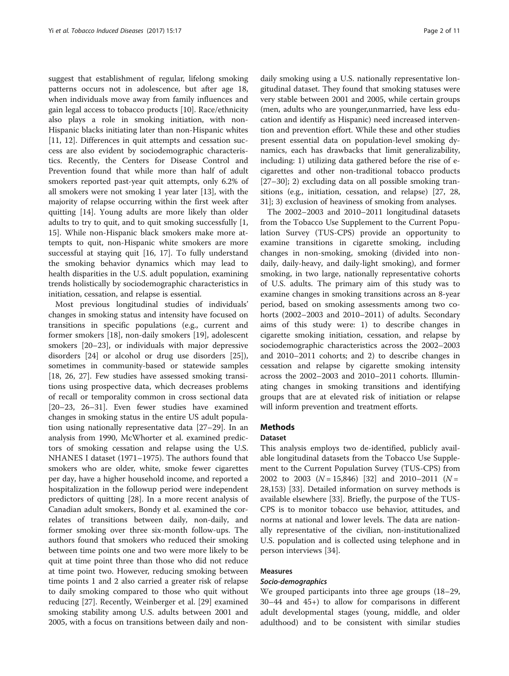suggest that establishment of regular, lifelong smoking patterns occurs not in adolescence, but after age 18, when individuals move away from family influences and gain legal access to tobacco products [\[10](#page-9-0)]. Race/ethnicity also plays a role in smoking initiation, with non-Hispanic blacks initiating later than non-Hispanic whites [[11, 12](#page-9-0)]. Differences in quit attempts and cessation success are also evident by sociodemographic characteristics. Recently, the Centers for Disease Control and Prevention found that while more than half of adult smokers reported past-year quit attempts, only 6.2% of all smokers were not smoking 1 year later [[13\]](#page-9-0), with the majority of relapse occurring within the first week after quitting [[14\]](#page-9-0). Young adults are more likely than older adults to try to quit, and to quit smoking successfully [\[1](#page-8-0), [15\]](#page-9-0). While non-Hispanic black smokers make more attempts to quit, non-Hispanic white smokers are more successful at staying quit [\[16](#page-9-0), [17\]](#page-9-0). To fully understand the smoking behavior dynamics which may lead to health disparities in the U.S. adult population, examining trends holistically by sociodemographic characteristics in initiation, cessation, and relapse is essential.

Most previous longitudinal studies of individuals' changes in smoking status and intensity have focused on transitions in specific populations (e.g., current and former smokers [\[18](#page-9-0)], non-daily smokers [\[19](#page-9-0)], adolescent smokers [[20](#page-9-0)–[23](#page-9-0)], or individuals with major depressive disorders [[24](#page-9-0)] or alcohol or drug use disorders [\[25](#page-9-0)]), sometimes in community-based or statewide samples [[18, 26, 27\]](#page-9-0). Few studies have assessed smoking transitions using prospective data, which decreases problems of recall or temporality common in cross sectional data [[20](#page-9-0)–[23](#page-9-0), [26](#page-9-0)–[31\]](#page-9-0). Even fewer studies have examined changes in smoking status in the entire US adult population using nationally representative data [[27](#page-9-0)–[29](#page-9-0)]. In an analysis from 1990, McWhorter et al. examined predictors of smoking cessation and relapse using the U.S. NHANES I dataset (1971–1975). The authors found that smokers who are older, white, smoke fewer cigarettes per day, have a higher household income, and reported a hospitalization in the followup period were independent predictors of quitting [[28\]](#page-9-0). In a more recent analysis of Canadian adult smokers, Bondy et al. examined the correlates of transitions between daily, non-daily, and former smoking over three six-month follow-ups. The authors found that smokers who reduced their smoking between time points one and two were more likely to be quit at time point three than those who did not reduce at time point two. However, reducing smoking between time points 1 and 2 also carried a greater risk of relapse to daily smoking compared to those who quit without reducing [[27\]](#page-9-0). Recently, Weinberger et al. [[29\]](#page-9-0) examined smoking stability among U.S. adults between 2001 and 2005, with a focus on transitions between daily and non-

daily smoking using a U.S. nationally representative longitudinal dataset. They found that smoking statuses were very stable between 2001 and 2005, while certain groups (men, adults who are younger,unmarried, have less education and identify as Hispanic) need increased intervention and prevention effort. While these and other studies present essential data on population-level smoking dynamics, each has drawbacks that limit generalizability, including: 1) utilizing data gathered before the rise of ecigarettes and other non-traditional tobacco products [[27](#page-9-0)–[30](#page-9-0)]; 2) excluding data on all possible smoking transitions (e.g., initiation, cessation, and relapse) [\[27](#page-9-0), [28](#page-9-0), [31\]](#page-9-0); 3) exclusion of heaviness of smoking from analyses.

The 2002–2003 and 2010–2011 longitudinal datasets from the Tobacco Use Supplement to the Current Population Survey (TUS-CPS) provide an opportunity to examine transitions in cigarette smoking, including changes in non-smoking, smoking (divided into nondaily, daily-heavy, and daily-light smoking), and former smoking, in two large, nationally representative cohorts of U.S. adults. The primary aim of this study was to examine changes in smoking transitions across an 8-year period, based on smoking assessments among two cohorts (2002–2003 and 2010–2011) of adults. Secondary aims of this study were: 1) to describe changes in cigarette smoking initiation, cessation, and relapse by sociodemographic characteristics across the 2002–2003 and 2010–2011 cohorts; and 2) to describe changes in cessation and relapse by cigarette smoking intensity across the 2002–2003 and 2010–2011 cohorts. Illuminating changes in smoking transitions and identifying groups that are at elevated risk of initiation or relapse will inform prevention and treatment efforts.

# Methods

# Dataset

This analysis employs two de-identified, publicly available longitudinal datasets from the Tobacco Use Supplement to the Current Population Survey (TUS-CPS) from 2002 to 2003 ( $N = 15,846$ ) [\[32](#page-9-0)] and 2010–2011 ( $N =$ 28,153) [\[33](#page-9-0)]. Detailed information on survey methods is available elsewhere [\[33](#page-9-0)]. Briefly, the purpose of the TUS-CPS is to monitor tobacco use behavior, attitudes, and norms at national and lower levels. The data are nationally representative of the civilian, non-institutionalized U.S. population and is collected using telephone and in person interviews [\[34\]](#page-9-0).

## Measures

## Socio-demographics

We grouped participants into three age groups (18–29, 30–44 and 45+) to allow for comparisons in different adult developmental stages (young, middle, and older adulthood) and to be consistent with similar studies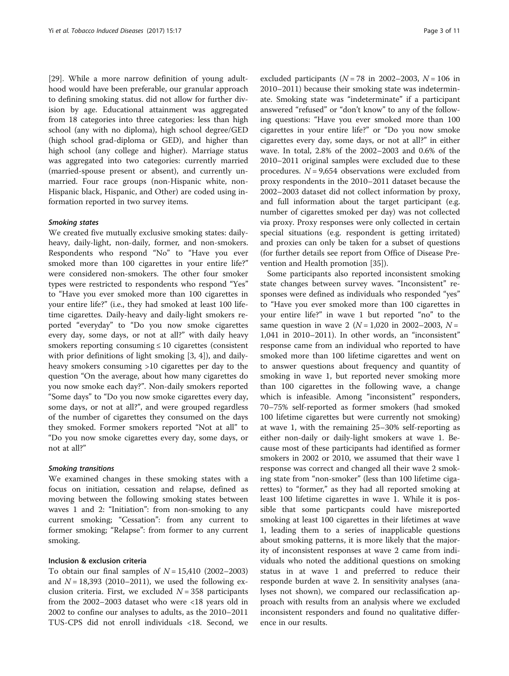[[29\]](#page-9-0). While a more narrow definition of young adulthood would have been preferable, our granular approach to defining smoking status. did not allow for further division by age. Educational attainment was aggregated from 18 categories into three categories: less than high school (any with no diploma), high school degree/GED (high school grad-diploma or GED), and higher than high school (any college and higher). Marriage status was aggregated into two categories: currently married (married-spouse present or absent), and currently unmarried. Four race groups (non-Hispanic white, non-Hispanic black, Hispanic, and Other) are coded using information reported in two survey items.

#### Smoking states

We created five mutually exclusive smoking states: dailyheavy, daily-light, non-daily, former, and non-smokers. Respondents who respond "No" to "Have you ever smoked more than 100 cigarettes in your entire life?" were considered non-smokers. The other four smoker types were restricted to respondents who respond "Yes" to "Have you ever smoked more than 100 cigarettes in your entire life?" (i.e., they had smoked at least 100 lifetime cigarettes. Daily-heavy and daily-light smokers reported "everyday" to "Do you now smoke cigarettes every day, some days, or not at all?" with daily heavy smokers reporting consuming  $\leq 10$  cigarettes (consistent with prior definitions of light smoking [\[3](#page-9-0), [4\]](#page-9-0)), and dailyheavy smokers consuming >10 cigarettes per day to the question "On the average, about how many cigarettes do you now smoke each day?". Non-daily smokers reported "Some days" to "Do you now smoke cigarettes every day, some days, or not at all?", and were grouped regardless of the number of cigarettes they consumed on the days they smoked. Former smokers reported "Not at all" to "Do you now smoke cigarettes every day, some days, or not at all?"

#### Smoking transitions

We examined changes in these smoking states with a focus on initiation, cessation and relapse, defined as moving between the following smoking states between waves 1 and 2: "Initiation": from non-smoking to any current smoking; "Cessation": from any current to former smoking; "Relapse": from former to any current smoking.

## Inclusion & exclusion criteria

To obtain our final samples of  $N = 15,410$  (2002–2003) and  $N = 18,393$  (2010–2011), we used the following exclusion criteria. First, we excluded  $N = 358$  participants from the 2002–2003 dataset who were <18 years old in 2002 to confine our analyses to adults, as the 2010–2011 TUS-CPS did not enroll individuals <18. Second, we

excluded participants ( $N = 78$  in 2002–2003,  $N = 106$  in 2010–2011) because their smoking state was indeterminate. Smoking state was "indeterminate" if a participant answered "refused" or "don't know" to any of the following questions: "Have you ever smoked more than 100 cigarettes in your entire life?" or "Do you now smoke cigarettes every day, some days, or not at all?" in either wave. In total, 2.8% of the 2002–2003 and 0.6% of the 2010–2011 original samples were excluded due to these procedures.  $N = 9,654$  observations were excluded from proxy respondents in the 2010–2011 dataset because the 2002–2003 dataset did not collect information by proxy, and full information about the target participant (e.g. number of cigarettes smoked per day) was not collected via proxy. Proxy responses were only collected in certain special situations (e.g. respondent is getting irritated) and proxies can only be taken for a subset of questions (for further details see report from Office of Disease Prevention and Health promotion [\[35](#page-9-0)]).

Some participants also reported inconsistent smoking state changes between survey waves. "Inconsistent" responses were defined as individuals who responded "yes" to "Have you ever smoked more than 100 cigarettes in your entire life?" in wave 1 but reported "no" to the same question in wave 2 ( $N = 1,020$  in 2002–2003,  $N =$ 1,041 in 2010–2011). In other words, an "inconsistent" response came from an individual who reported to have smoked more than 100 lifetime cigarettes and went on to answer questions about frequency and quantity of smoking in wave 1, but reported never smoking more than 100 cigarettes in the following wave, a change which is infeasible. Among "inconsistent" responders, 70–75% self-reported as former smokers (had smoked 100 lifetime cigarettes but were currently not smoking) at wave 1, with the remaining 25–30% self-reporting as either non-daily or daily-light smokers at wave 1. Because most of these participants had identified as former smokers in 2002 or 2010, we assumed that their wave 1 response was correct and changed all their wave 2 smoking state from "non-smoker" (less than 100 lifetime cigarettes) to "former," as they had all reported smoking at least 100 lifetime cigarettes in wave 1. While it is possible that some particpants could have misreported smoking at least 100 cigarettes in their lifetimes at wave 1, leading them to a series of inapplicable questions about smoking patterns, it is more likely that the majority of inconsistent responses at wave 2 came from individuals who noted the additional questions on smoking status in at wave 1 and preferred to reduce their responde burden at wave 2. In sensitivity analyses (analyses not shown), we compared our reclassification approach with results from an analysis where we excluded inconsistent responders and found no qualitative difference in our results.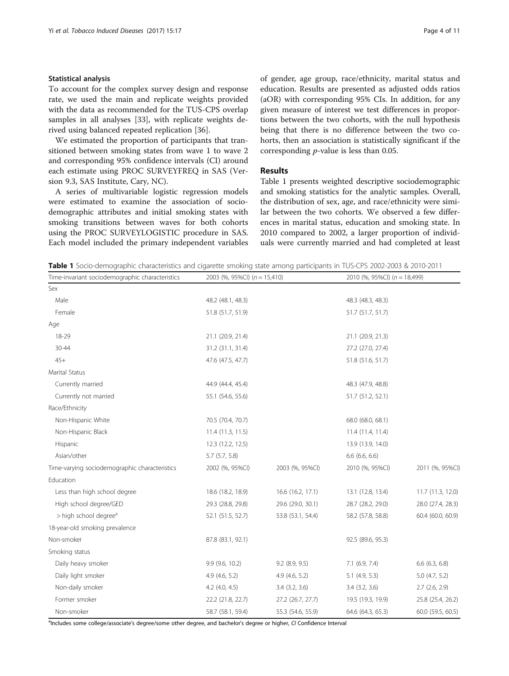## Statistical analysis

To account for the complex survey design and response rate, we used the main and replicate weights provided with the data as recommended for the TUS-CPS overlap samples in all analyses [[33\]](#page-9-0), with replicate weights derived using balanced repeated replication [[36\]](#page-9-0).

We estimated the proportion of participants that transitioned between smoking states from wave 1 to wave 2 and corresponding 95% confidence intervals (CI) around each estimate using PROC SURVEYFREQ in SAS (Version 9.3, SAS Institute, Cary, NC).

A series of multivariable logistic regression models were estimated to examine the association of sociodemographic attributes and initial smoking states with smoking transitions between waves for both cohorts using the PROC SURVEYLOGISTIC procedure in SAS. Each model included the primary independent variables of gender, age group, race/ethnicity, marital status and education. Results are presented as adjusted odds ratios (aOR) with corresponding 95% CIs. In addition, for any given measure of interest we test differences in proportions between the two cohorts, with the null hypothesis being that there is no difference between the two cohorts, then an association is statistically significant if the corresponding p-value is less than 0.05.

## Results

Table 1 presents weighted descriptive sociodemographic and smoking statistics for the analytic samples. Overall, the distribution of sex, age, and race/ethnicity were similar between the two cohorts. We observed a few differences in marital status, education and smoking state. In 2010 compared to 2002, a larger proportion of individuals were currently married and had completed at least

Table 1 Socio-demographic characteristics and cigarette smoking state among participants in TUS-CPS 2002-2003 & 2010-2011

Time-invariant sociodemographic characteristics 2003 (%, 95%CI) (n = 15,410) 2010 (%, 95%CI) (n = 18,499)

| Sex                                           |                    |                    |                    |                    |
|-----------------------------------------------|--------------------|--------------------|--------------------|--------------------|
| Male                                          | 48.2 (48.1, 48.3)  |                    | 48.3 (48.3, 48.3)  |                    |
| Female                                        | 51.8 (51.7, 51.9)  |                    | 51.7 (51.7, 51.7)  |                    |
| Age                                           |                    |                    |                    |                    |
| 18-29                                         | 21.1 (20.9, 21.4)  |                    | 21.1 (20.9, 21.3)  |                    |
| 30-44                                         | 31.2 (31.1, 31.4)  |                    | 27.2 (27.0, 27.4)  |                    |
| $45+$                                         | 47.6 (47.5, 47.7)  |                    | 51.8 (51.6, 51.7)  |                    |
| Marital Status                                |                    |                    |                    |                    |
| Currently married                             | 44.9 (44.4, 45.4)  |                    | 48.3 (47.9, 48.8)  |                    |
| Currently not married                         | 55.1 (54.6, 55.6)  |                    | 51.7 (51.2, 52.1)  |                    |
| Race/Ethnicity                                |                    |                    |                    |                    |
| Non-Hispanic White                            | 70.5 (70.4, 70.7)  |                    | 68.0 (68.0, 68.1)  |                    |
| Non-Hispanic Black                            | 11.4(11.3, 11.5)   |                    | 11.4 (11.4, 11.4)  |                    |
| Hispanic                                      | 12.3 (12.2, 12.5)  |                    | 13.9 (13.9, 14.0)  |                    |
| Asian/other                                   | $5.7$ $(5.7, 5.8)$ |                    | $6.6$ $(6.6, 6.6)$ |                    |
| Time-varying sociodemographic characteristics | 2002 (%, 95%CI)    | 2003 (%, 95%CI)    | 2010 (%, 95%CI)    | 2011 (%, 95%CI)    |
| Education                                     |                    |                    |                    |                    |
| Less than high school degree                  | 18.6 (18.2, 18.9)  | 16.6 (16.2, 17.1)  | 13.1 (12.8, 13.4)  | 11.7 (11.3, 12.0)  |
| High school degree/GED                        | 29.3 (28.8, 29.8)  | 29.6 (29.0, 30.1)  | 28.7 (28.2, 29.0)  | 28.0 (27.4, 28.3)  |
| > high school degree <sup>a</sup>             | 52.1 (51.5, 52.7)  | 53.8 (53.1, 54.4)  | 58.2 (57.8, 58.8)  | 60.4 (60.0, 60.9)  |
| 18-year-old smoking prevalence                |                    |                    |                    |                    |
| Non-smoker                                    | 87.8 (83.1, 92.1)  |                    | 92.5 (89.6, 95.3)  |                    |
| Smoking status                                |                    |                    |                    |                    |
| Daily heavy smoker                            | 9.9 (9.6, 10.2)    | $9.2$ (8.9, 9.5)   | $7.1$ (6.9, 7.4)   | $6.6$ $(6.3, 6.8)$ |
| Daily light smoker                            | $4.9$ (4.6, 5.2)   | $4.9$ (4.6, 5.2)   | $5.1$ (4.9, 5.3)   | 5.0(4.7, 5.2)      |
| Non-daily smoker                              | $4.2$ (4.0, 4.5)   | $3.4$ $(3.2, 3.6)$ | $3.4$ $(3.2, 3.6)$ | $2.7$ (2.6, 2.9)   |
| Former smoker                                 | 22.2 (21.8, 22.7)  | 27.2 (26.7, 27.7)  | 19.5 (19.3, 19.9)  | 25.8 (25.4, 26.2)  |
| Non-smoker                                    | 58.7 (58.1, 59.4)  | 55.3 (54.6, 55.9)  | 64.6 (64.3, 65.3)  | 60.0 (59.5, 60.5)  |

<sup>a</sup>Includes some college/associate's degree/some other degree, and bachelor's degree or higher, CI Confidence Interval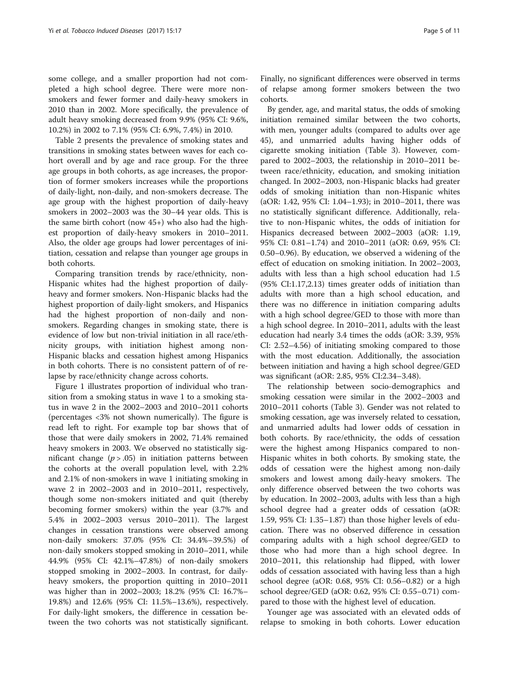some college, and a smaller proportion had not completed a high school degree. There were more nonsmokers and fewer former and daily-heavy smokers in 2010 than in 2002. More specifically, the prevalence of adult heavy smoking decreased from 9.9% (95% CI: 9.6%, 10.2%) in 2002 to 7.1% (95% CI: 6.9%, 7.4%) in 2010.

Table [2](#page-5-0) presents the prevalence of smoking states and transitions in smoking states between waves for each cohort overall and by age and race group. For the three age groups in both cohorts, as age increases, the proportion of former smokers increases while the proportions of daily-light, non-daily, and non-smokers decrease. The age group with the highest proportion of daily-heavy smokers in 2002–2003 was the 30–44 year olds. This is the same birth cohort (now 45+) who also had the highest proportion of daily-heavy smokers in 2010–2011. Also, the older age groups had lower percentages of initiation, cessation and relapse than younger age groups in both cohorts.

Comparing transition trends by race/ethnicity, non-Hispanic whites had the highest proportion of dailyheavy and former smokers. Non-Hispanic blacks had the highest proportion of daily-light smokers, and Hispanics had the highest proportion of non-daily and nonsmokers. Regarding changes in smoking state, there is evidence of low but non-trivial initiation in all race/ethnicity groups, with initiation highest among non-Hispanic blacks and cessation highest among Hispanics in both cohorts. There is no consistent pattern of of relapse by race/ethnicity change across cohorts.

Figure [1](#page-6-0) illustrates proportion of individual who transition from a smoking status in wave 1 to a smoking status in wave 2 in the 2002–2003 and 2010–2011 cohorts (percentages <3% not shown numerically). The figure is read left to right. For example top bar shows that of those that were daily smokers in 2002, 71.4% remained heavy smokers in 2003. We observed no statistically significant change  $(p > .05)$  in initiation patterns between the cohorts at the overall population level, with 2.2% and 2.1% of non-smokers in wave 1 initiating smoking in wave 2 in 2002–2003 and in 2010–2011, respectively, though some non-smokers initiated and quit (thereby becoming former smokers) within the year (3.7% and 5.4% in 2002–2003 versus 2010–2011). The largest changes in cessation transtions were observed among non-daily smokers: 37.0% (95% CI: 34.4%–39.5%) of non-daily smokers stopped smoking in 2010–2011, while 44.9% (95% CI: 42.1%–47.8%) of non-daily smokers stopped smoking in 2002–2003. In contrast, for dailyheavy smokers, the proportion quitting in 2010–2011 was higher than in 2002–2003; 18.2% (95% CI: 16.7%– 19.8%) and 12.6% (95% CI: 11.5%–13.6%), respectively. For daily-light smokers, the difference in cessation between the two cohorts was not statistically significant.

Finally, no significant differences were observed in terms of relapse among former smokers between the two cohorts.

By gender, age, and marital status, the odds of smoking initiation remained similar between the two cohorts, with men, younger adults (compared to adults over age 45), and unmarried adults having higher odds of cigarette smoking initiation (Table [3](#page-7-0)). However, compared to 2002–2003, the relationship in 2010–2011 between race/ethnicity, education, and smoking initiation changed. In 2002–2003, non-Hispanic blacks had greater odds of smoking initiation than non-Hispanic whites (aOR: 1.42, 95% CI: 1.04–1.93); in 2010–2011, there was no statistically significant difference. Additionally, relative to non-Hispanic whites, the odds of initiation for Hispanics decreased between 2002–2003 (aOR: 1.19, 95% CI: 0.81–1.74) and 2010–2011 (aOR: 0.69, 95% CI: 0.50–0.96). By education, we observed a widening of the effect of education on smoking initiation. In 2002–2003, adults with less than a high school education had 1.5 (95% CI:1.17,2.13) times greater odds of initiation than adults with more than a high school education, and there was no difference in initiation comparing adults with a high school degree/GED to those with more than a high school degree. In 2010–2011, adults with the least education had nearly 3.4 times the odds (aOR: 3.39, 95% CI: 2.52–4.56) of initiating smoking compared to those with the most education. Additionally, the association between initiation and having a high school degree/GED was significant (aOR: 2.85, 95% CI:2.34–3.48).

The relationship between socio-demographics and smoking cessation were similar in the 2002–2003 and 2010–2011 cohorts (Table [3](#page-7-0)). Gender was not related to smoking cessation, age was inversely related to cessation, and unmarried adults had lower odds of cessation in both cohorts. By race/ethnicity, the odds of cessation were the highest among Hispanics compared to non-Hispanic whites in both cohorts. By smoking state, the odds of cessation were the highest among non-daily smokers and lowest among daily-heavy smokers. The only difference observed between the two cohorts was by education. In 2002–2003, adults with less than a high school degree had a greater odds of cessation (aOR: 1.59, 95% CI: 1.35–1.87) than those higher levels of education. There was no observed difference in cessation comparing adults with a high school degree/GED to those who had more than a high school degree. In 2010–2011, this relationship had flipped, with lower odds of cessation associated with having less than a high school degree (aOR: 0.68, 95% CI: 0.56–0.82) or a high school degree/GED (aOR: 0.62, 95% CI: 0.55–0.71) compared to those with the highest level of education.

Younger age was associated with an elevated odds of relapse to smoking in both cohorts. Lower education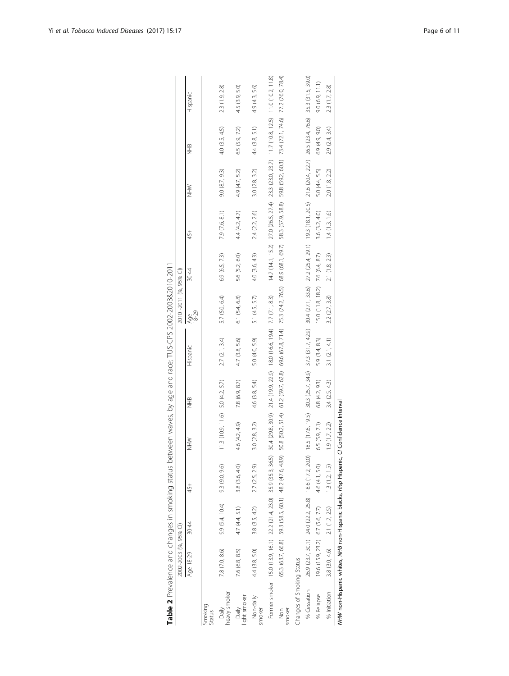<span id="page-5-0"></span>

|                           | Age 18-29                                                           | 30-44                                                 | 45+            | NHN<br>NHN                       | 9H<br>NHB     | Hispanic                                                                | Age<br>18-29                     | 30-44          | 45+                                                                                                                                                           | NHN            | 9HB                | Hispanic       |
|---------------------------|---------------------------------------------------------------------|-------------------------------------------------------|----------------|----------------------------------|---------------|-------------------------------------------------------------------------|----------------------------------|----------------|---------------------------------------------------------------------------------------------------------------------------------------------------------------|----------------|--------------------|----------------|
| Smoking<br>Status         |                                                                     |                                                       |                |                                  |               |                                                                         |                                  |                |                                                                                                                                                               |                |                    |                |
| heavy smoker<br>Daily     | 7.8 (7.0, 8.6)                                                      | $9.9(9.4, 10.4)$ 9.3 $(9.0, 9.6)$                     |                | 11.3 (10.9, 11.6) 5.0 (4.2, 5.7) |               | 2.7(2.1, 3.4)                                                           | 5.7 (5.0, 6.4)                   | 6.9(6.5, 7.3)  | 7.9 (7.6, 8.1)                                                                                                                                                | 9.0 (8.7, 9.3) | 4.0(3.5, 4.5)      | 2.3 (1.9, 2.8) |
| light smoker<br>Daily     | 7.6 (6.8, 8.5)                                                      | 4.7 (4.4, 5.1)                                        | 3.8 (3.6, 4.0) | 4.6 (4.2, 4.9)                   | 7.8(6.9, 8.7) | 4.7 (3.8, 5.6)                                                          | 6.1 (5.4, 6.8)                   | 5.6 (5.2, 6.0) | 4.4 (4.2, 4.7)                                                                                                                                                | 4.9 (4.7, 5.2) | 6.5(5.9, 7.2)      | 4.5 (3.9, 5.0) |
| Non-daily<br>smoker       | 4.4 (3.8, 5.0)                                                      | 3.8(3.5, 4.2)                                         | 2.7 (2.5, 2.9) | 3.0 (2.8, 3.2)                   | 4.6(3.8, 5.4) | 5.0 (4.0, 5.9)                                                          | 5.1 (4.5, 5.7)                   | 4.0(3.6, 4.3)  | 2.4 (2.2, 2.6)                                                                                                                                                | 3.0 (2.8, 3.2) | $4.4$ $(3.8, 5.1)$ | 4.9 (4.3, 5.6) |
|                           | Former smoker 15.0 (13.9, 16.1) 22.2 (21.4, 23.0) 35.9 (35.3, 36.5) |                                                       |                |                                  |               | 30.4 (29.8, 30.9) 21 4 (19.9, 22.9) 18.0 (16.6, 19.4) 7.7 (7.1, 8.3)    |                                  |                | 14.7 (14.1, 15.2) 27.0 (26.5, 27.4) 23.3 (23.0, 23.7) 11.7 (10.8, 12.5) 11.0 (10.2, 11.8)                                                                     |                |                    |                |
| smoker<br>$\frac{6}{2}$   |                                                                     | 65.3 (63.7, 66.8) 59.3 (58.5, 60.1) 48.2 (47.6, 48.9) |                |                                  |               | 50.8 (50.2, 51.4) 61.2 (59.7, 62.8) 69.6 (67.8, 71.4) 75.3 (74.2, 76.5) |                                  |                | 68.9 (68.1, 69.7) 58.3 (57.9, 58.8) 59.8 (59.2, 60.3) 73.4 (72.1, 74.6) 77.2 (76.0, 78.4)                                                                     |                |                    |                |
| Changes of Smoking Status |                                                                     |                                                       |                |                                  |               |                                                                         |                                  |                |                                                                                                                                                               |                |                    |                |
| % Cessation               |                                                                     | 26.9 (23.7, 30.1) 24.0 (22.2, 25.8) 18.6 (17.2, 20.0) |                |                                  |               |                                                                         |                                  |                | 185 (17.6, 19.5) 303 (25.7, 34.9) 373 (31.7, 42.9) 304 (27.1, 33.6) 27.2 (25.4, 29.1) 19.3 (18.1, 20.5) 21.6 (20.4, 22.7) 26.5 (23.4, 76.6) 35.3 (31.5, 39.0) |                |                    |                |
| % Relapse                 |                                                                     | 19.6 (15.9, 23.2) 6.7 (5.6, 7.7)                      | 4.6 (4.1, 5.0) | 6.5 (5.9, 7.1)                   | 6.8(4.2, 9.3) | 5.9 (3.4, 8.3)                                                          | 15.0 (11.8, 18.2) 7.6 (6.4, 8.7) |                | 3.6 (3.2, 4.0)                                                                                                                                                | 5.0 (4.4, 5.5) | 6.9 (4.9, 9.0)     | 9.0(6.9, 11.1) |
| % Initiation              | 3.8 (3.0, 4.6)                                                      | 2.1(1.7, 2.5)                                         | 1.3(1.2, 1.5)  | 1.9(1.7, 2.2)                    | 3.4(2.5, 4.3) | 3.1(2.1, 4.1)                                                           | 3.2 (2.7, 3.8)                   | 2.1(1.8, 2.3)  | 1.4(1.3, 1.6)                                                                                                                                                 | 2.0 (1.8, 2.2) | 2.9(2.4, 3.4)      | 2.3 (1.7, 2.8) |
|                           | NHW non-Hispanic whites, NHB non-Hispanic blacks, Hisp Hispanic,    |                                                       |                | C/ Confidence Interval           |               |                                                                         |                                  |                |                                                                                                                                                               |                |                    |                |

Table 2 Prevalence and changes in smoking status between waves, by age and race; TUS-CPS 2002-2003&2010-2011 Table 2 Prevalence and changes in smoking status between waves, by age and race; TUS-CPS 2002-2003&2010-2011 2010-2011 (%, 95% CI) 2002-2003 (%, 95% CI)

2002-2003 (%, 95% CI) 2010 -2011 (%, 95% CI)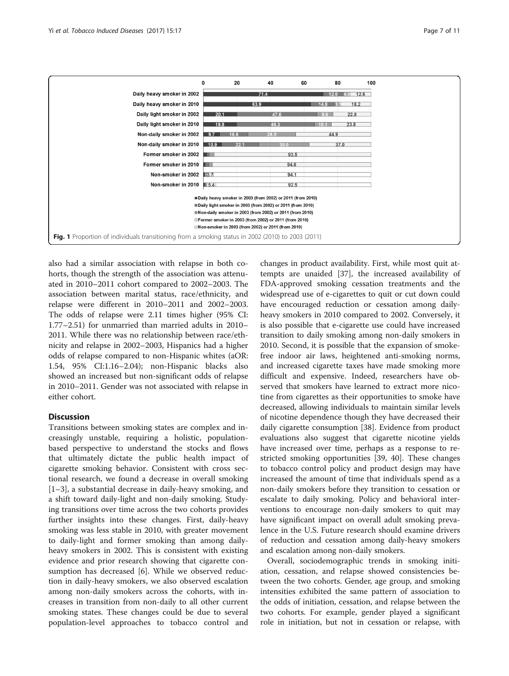<span id="page-6-0"></span>

also had a similar association with relapse in both cohorts, though the strength of the association was attenuated in 2010–2011 cohort compared to 2002–2003. The association between marital status, race/ethnicity, and relapse were different in 2010–2011 and 2002–2003. The odds of relapse were 2.11 times higher (95% CI: 1.77–2.51) for unmarried than married adults in 2010– 2011. While there was no relationship between race/ethnicity and relapse in 2002–2003, Hispanics had a higher odds of relapse compared to non-Hispanic whites (aOR: 1.54, 95% CI:1.16–2.04); non-Hispanic blacks also showed an increased but non-significant odds of relapse in 2010–2011. Gender was not associated with relapse in either cohort.

## Discussion

Transitions between smoking states are complex and increasingly unstable, requiring a holistic, populationbased perspective to understand the stocks and flows that ultimately dictate the public health impact of cigarette smoking behavior. Consistent with cross sectional research, we found a decrease in overall smoking [[1](#page-8-0)–[3\]](#page-9-0), a substantial decrease in daily-heavy smoking, and a shift toward daily-light and non-daily smoking. Studying transitions over time across the two cohorts provides further insights into these changes. First, daily-heavy smoking was less stable in 2010, with greater movement to daily-light and former smoking than among dailyheavy smokers in 2002. This is consistent with existing evidence and prior research showing that cigarette consumption has decreased [[6\]](#page-9-0). While we observed reduction in daily-heavy smokers, we also observed escalation among non-daily smokers across the cohorts, with increases in transition from non-daily to all other current smoking states. These changes could be due to several population-level approaches to tobacco control and

changes in product availability. First, while most quit attempts are unaided [\[37\]](#page-9-0), the increased availability of FDA-approved smoking cessation treatments and the widespread use of e-cigarettes to quit or cut down could have encouraged reduction or cessation among dailyheavy smokers in 2010 compared to 2002. Conversely, it is also possible that e-cigarette use could have increased transition to daily smoking among non-daily smokers in 2010. Second, it is possible that the expansion of smokefree indoor air laws, heightened anti-smoking norms, and increased cigarette taxes have made smoking more difficult and expensive. Indeed, researchers have observed that smokers have learned to extract more nicotine from cigarettes as their opportunities to smoke have decreased, allowing individuals to maintain similar levels of nicotine dependence though they have decreased their daily cigarette consumption [\[38](#page-9-0)]. Evidence from product evaluations also suggest that cigarette nicotine yields have increased over time, perhaps as a response to restricted smoking opportunities [\[39, 40](#page-9-0)]. These changes to tobacco control policy and product design may have increased the amount of time that individuals spend as a non-daily smokers before they transition to cessation or escalate to daily smoking. Policy and behavioral interventions to encourage non-daily smokers to quit may have significant impact on overall adult smoking prevalence in the U.S. Future research should examine drivers of reduction and cessation among daily-heavy smokers and escalation among non-daily smokers.

Overall, sociodemographic trends in smoking initiation, cessation, and relapse showed consistencies between the two cohorts. Gender, age group, and smoking intensities exhibited the same pattern of association to the odds of initiation, cessation, and relapse between the two cohorts. For example, gender played a significant role in initiation, but not in cessation or relapse, with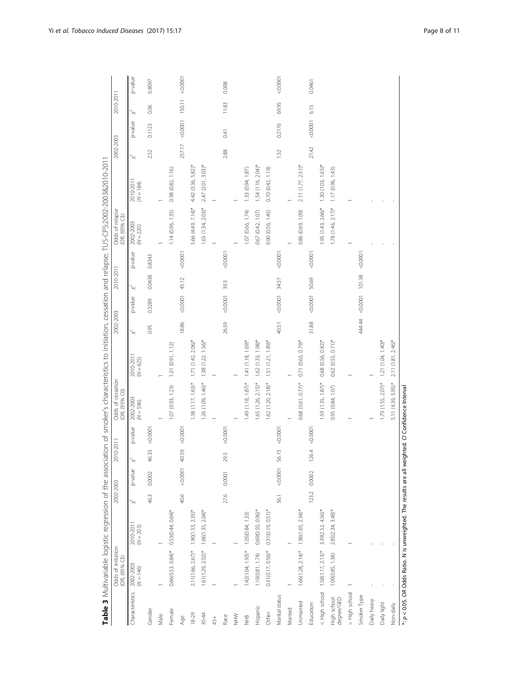<span id="page-7-0"></span>

|                           | Odds of initiation<br>(OR, (95% CI))                                   |                         | 2002-2003 |                 | 2010-2011             |          | Table 3 Multivariable logistic regression of the association of smoker's characteristics to initiation, cessation and relapse; TUS-CPS:2002-2003&2011<br>Odds of cessation<br>(OR, (95% CI)) |                         | 2002-2003 |         | 2010-2011 |          | Odds of relapse<br>(OR, (95% CI)) |                         | 2002-2003 |         | 2010-2011 |          |
|---------------------------|------------------------------------------------------------------------|-------------------------|-----------|-----------------|-----------------------|----------|----------------------------------------------------------------------------------------------------------------------------------------------------------------------------------------------|-------------------------|-----------|---------|-----------|----------|-----------------------------------|-------------------------|-----------|---------|-----------|----------|
| Characteristics           | $2002 - 2003$<br>$(N = 146)$                                           | 2010-201<br>$(N = 203)$ |           | p-value         |                       | p-value  | 2002-2003<br>$(N = 596)$                                                                                                                                                                     | 2010-201<br>$(N = 625)$ |           | p-value |           | p-value  | 2002-2003<br>$(N = 220)$          | 2010-201<br>$(N = 184)$ |           | p-value |           | p-value  |
| Gender                    |                                                                        |                         | 46.3      | 0.0002          | 46.33                 | 0.000    |                                                                                                                                                                                              |                         | 0.95      | 0.3289  | 0.0438    | 0.8343   |                                   |                         | 2.52      | 0.1123  | 0.06      | 0.8097   |
| Male                      |                                                                        |                         |           |                 |                       |          |                                                                                                                                                                                              |                         |           |         |           |          |                                   |                         |           |         |           |          |
| Female                    | $0.66(0.53, 0.84)$ *                                                   | $0.53(0.44, 0.64)$ *    |           |                 |                       |          | 1.07 (0.93, 1.23)                                                                                                                                                                            | 1.01(0.91, 1.12)        |           |         |           |          | 1.14 (0.96, 1.35)                 | 0.98 (0.82, 1.16)       |           |         |           |          |
| Age                       |                                                                        |                         | 40.6      | $-0.0001$ 40.59 |                       | < 0.0001 |                                                                                                                                                                                              |                         | 18.86     | 0.0001  | 45.12     | 0.0001   |                                   |                         | 257.17    | 0.0001  | 150.11    | 00000    |
| $18 - 29$                 | $2.11(1.66, 2.67)$ * 1.90 $(1.53, 2.35)$ *                             |                         |           |                 |                       |          | $1.38(1.17, 1.63)$ *                                                                                                                                                                         | $1.71(1.42, 2.06)^{*}$  |           |         |           |          | 5.66 (4.49, 7.14)*                | 4.42 (3.36, 5.82)*      |           |         |           |          |
| $30 - 44$                 | $1.61(1.29, 2.02)^*$                                                   | $1.66(1.35, 2.04)^*$    |           |                 |                       |          | 1.26 (1.09, 1.46)*                                                                                                                                                                           | $1.38(1.22, 1.56)^*$    |           |         |           |          | $1.65$ (1.34, 2.03)*              | 2.47 (2.01, 3.03)*      |           |         |           |          |
| 45+                       |                                                                        |                         |           |                 |                       |          |                                                                                                                                                                                              |                         |           |         |           |          |                                   |                         |           |         |           |          |
| Race                      |                                                                        |                         | 27.6      | 0.0001          | 29.5                  | < 0.0001 |                                                                                                                                                                                              |                         | 26.59     | 0.0001  | 39.3      | 0.0001   |                                   |                         | 2.88      | 0.41    | 11.83     | 0.008    |
| WHN                       |                                                                        |                         |           |                 |                       |          |                                                                                                                                                                                              |                         |           |         |           |          |                                   |                         |           |         |           |          |
| $rac{10}{2}$              | $1.42(1.04, 1.93)^*$                                                   | 1.05(0.84, 1.33)        |           |                 |                       |          | $1.49(1.18, 1.87)$ *                                                                                                                                                                         | $1.41(1.18, 1.69)$ *    |           |         |           |          | 1.07 (0.66, 1.74)                 | 1.33 (0.94, 1.87)       |           |         |           |          |
| Hispanic                  | 1.19(0.81, 1.74)                                                       | $0.69(0.50, 0.96)$ *    |           |                 |                       |          | $1.65$ (1.26, 2.15)*                                                                                                                                                                         | $1.62$ (1.33, $1.98$ )* |           |         |           |          | 0.67 (0.42, 1.07)                 | $1.54(1.16, 2.04)^*$    |           |         |           |          |
| Other                     | $0.31(0.17, 0.56)$ *                                                   | $0.31(0.19, 0.51)^*$    |           |                 |                       |          | $1.62$ (1.20, 2.18)*                                                                                                                                                                         | $1.51(1.21, 1.89)^{*}$  |           |         |           |          | 0.90 (0.56, 1.45)                 | 0.70(0.42, 1.19)        |           |         |           |          |
| Marital status            |                                                                        |                         | 56.1      | 0.0001          | $\overline{5}$<br>56. | < 0.0001 |                                                                                                                                                                                              |                         | 40.51     | 0.0001  | 34.57     | 0.0001   |                                   |                         | 1.52      | 0.2176  | 69.95     | < 0.0001 |
| Married                   |                                                                        |                         |           |                 |                       |          |                                                                                                                                                                                              |                         |           |         |           |          |                                   |                         |           |         |           |          |
| Unmarried                 | $1.66(1.28, 2.14)^*$ $1.96(1.65, 2.34)^*$                              |                         |           |                 |                       |          | $0.68(0.61, 0.77)$ *                                                                                                                                                                         | $0.71(0.63, 0.79)$ *    |           |         |           |          | 0.86 (0.69, 1.09)                 | $2.11(1.77, 2.51)^*$    |           |         |           |          |
| Education                 |                                                                        |                         | 123.2     | 0.0002          | 126.4                 | < 0.0001 |                                                                                                                                                                                              |                         | 31.88     | 0.0001  | 50.69     | 0.0001   |                                   |                         | 27.42     | 0.0001  | 6.15      | 0.0461   |
|                           | < High school 1.58(1.17, 2.13)*                                        | $3.39(2.52, 4.56)^*$    |           |                 |                       |          | $1.59(1.35, 1.87)$ *                                                                                                                                                                         | $0.68(0.56, 0.82)^*$    |           |         |           |          | $1.95$ (1.43, 2.66)*              | $1.30(1.03, 1.65)$ *    |           |         |           |          |
| High school<br>degree/GED | 1.09(0.85, 1.38)                                                       | $2.85(2.34, 3.48)$ *    |           |                 |                       |          | 0.95 (0.84, 1.07)                                                                                                                                                                            | $0.62(0.55, 0.71)$ *    |           |         |           |          | $1.78(1.46, 2.17)*$               | 1.17(0.96, 1.43)        |           |         |           |          |
| > High school             |                                                                        |                         |           |                 |                       |          |                                                                                                                                                                                              |                         |           |         |           |          |                                   |                         |           |         |           |          |
| Smoker Type               |                                                                        |                         |           |                 |                       |          |                                                                                                                                                                                              |                         | 444.44    | 0.0001  | 101.38    | < 0.0001 |                                   |                         |           |         |           |          |
| Daily heavy               |                                                                        |                         |           |                 |                       |          |                                                                                                                                                                                              |                         |           |         |           |          |                                   |                         |           |         |           |          |
| Daily light               |                                                                        |                         |           |                 |                       |          | $1.79(1.55, 2.07)$ *                                                                                                                                                                         | $1.21(1.04, 1.40)^{*}$  |           |         |           |          |                                   |                         |           |         |           |          |
| Non-daily                 |                                                                        |                         |           |                 |                       |          | 5.11 (4.39, 5.95)*                                                                                                                                                                           | 2.11 (1.81, 2.46)*      |           |         |           |          |                                   |                         |           |         |           |          |
|                           | *: p < 0.05. OR Odds Ratio. N is unweighted. The results are all weigl |                         |           |                 |                       |          | hted. C/ Confidence Interval                                                                                                                                                                 |                         |           |         |           |          |                                   |                         |           |         |           |          |

| <br> <br> <br>                           |
|------------------------------------------|
| .<br>ג                                   |
|                                          |
| The results are all weighted. CI CL<br>١ |
|                                          |
|                                          |
|                                          |
| i<br>Du<br>Du                            |
| e Ratio Nie unwe<br>i<br>D<br>C<br>C     |
|                                          |
|                                          |
|                                          |
| \ i_oilpu cpファフ こう<br>ce Ce              |
|                                          |
| .כטי                                     |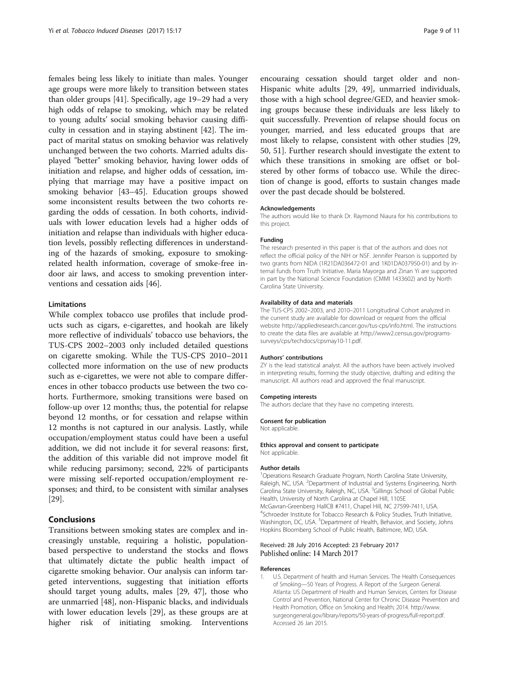<span id="page-8-0"></span>females being less likely to initiate than males. Younger age groups were more likely to transition between states than older groups [\[41](#page-9-0)]. Specifically, age 19–29 had a very high odds of relapse to smoking, which may be related to young adults' social smoking behavior causing difficulty in cessation and in staying abstinent [[42\]](#page-9-0). The impact of marital status on smoking behavior was relatively unchanged between the two cohorts. Married adults displayed "better" smoking behavior, having lower odds of initiation and relapse, and higher odds of cessation, implying that marriage may have a positive impact on smoking behavior [[43](#page-10-0)–[45](#page-10-0)]. Education groups showed some inconsistent results between the two cohorts regarding the odds of cessation. In both cohorts, individuals with lower education levels had a higher odds of initiation and relapse than individuals with higher education levels, possibly reflecting differences in understanding of the hazards of smoking, exposure to smokingrelated health information, coverage of smoke-free indoor air laws, and access to smoking prevention interventions and cessation aids [[46\]](#page-10-0).

#### Limitations

While complex tobacco use profiles that include products such as cigars, e-cigarettes, and hookah are likely more reflective of individuals' tobacco use behaviors, the TUS-CPS 2002–2003 only included detailed questions on cigarette smoking. While the TUS-CPS 2010–2011 collected more information on the use of new products such as e-cigarettes, we were not able to compare differences in other tobacco products use between the two cohorts. Furthermore, smoking transitions were based on follow-up over 12 months; thus, the potential for relapse beyond 12 months, or for cessation and relapse within 12 months is not captured in our analysis. Lastly, while occupation/employment status could have been a useful addition, we did not include it for several reasons: first, the addition of this variable did not improve model fit while reducing parsimony; second, 22% of participants were missing self-reported occupation/employment responses; and third, to be consistent with similar analyses [[29\]](#page-9-0).

# Conclusions

Transitions between smoking states are complex and increasingly unstable, requiring a holistic, populationbased perspective to understand the stocks and flows that ultimately dictate the public health impact of cigarette smoking behavior. Our analysis can inform targeted interventions, suggesting that initiation efforts should target young adults, males [[29,](#page-9-0) [47\]](#page-10-0), those who are unmarried [\[48](#page-10-0)], non-Hispanic blacks, and individuals with lower education levels [\[29](#page-9-0)], as these groups are at higher risk of initiating smoking. Interventions

encouraing cessation should target older and non-Hispanic white adults [\[29](#page-9-0), [49](#page-10-0)], unmarried individuals, those with a high school degree/GED, and heavier smoking groups because these individuals are less likely to quit successfully. Prevention of relapse should focus on younger, married, and less educated groups that are most likely to relapse, consistent with other studies [[29](#page-9-0), [50, 51\]](#page-10-0). Further research should investigate the extent to which these transitions in smoking are offset or bolstered by other forms of tobacco use. While the direction of change is good, efforts to sustain changes made over the past decade should be bolstered.

#### Acknowledgements

The authors would like to thank Dr. Raymond Niaura for his contributions to this project.

#### Funding

The research presented in this paper is that of the authors and does not reflect the official policy of the NIH or NSF. Jennifer Pearson is supported by two grants from NIDA (1R21DA036472-01 and 1K01DA037950-01) and by internal funds from Truth Initiative. Maria Mayorga and Zinan Yi are supported in part by the National Science Foundation (CMMI 1433602) and by North Carolina State University.

#### Availability of data and materials

The TUS-CPS 2002–2003, and 2010–2011 Longitudinal Cohort analyzed in the current study are available for download or request from the official website [http://appliedresearch.cancer.gov/tus-cps/info.html.](http://appliedresearch.cancer.gov/tus-cps/info.html) The instructions to create the data files are available at [http://www2.census.gov/programs](http://www2.census.gov/programs-surveys/cps/techdocs/cpsmay10-11.pdf)[surveys/cps/techdocs/cpsmay10-11.pdf](http://www2.census.gov/programs-surveys/cps/techdocs/cpsmay10-11.pdf).

#### Authors' contributions

ZY is the lead statistical analyst. All the authors have been actively involved in interpreting results, forming the study objective, drafting and editing the manuscript. All authors read and approved the final manuscript.

#### Competing interests

The authors declare that they have no competing interests.

## Consent for publication

Not applicable.

#### Ethics approval and consent to participate

Not applicable.

#### Author details

<sup>1</sup>Operations Research Graduate Program, North Carolina State University Raleigh, NC, USA. <sup>2</sup>Department of Industrial and Systems Engineering, North Carolina State University, Raleigh, NC, USA. <sup>3</sup>Gillings School of Global Public Health, University of North Carolina at Chapel Hill, 1105E McGavran-Greenberg HallCB #7411, Chapel Hill, NC 27599-7411, USA. 4 Schroeder Institute for Tobacco Research & Policy Studies, Truth Initiative, Washington, DC, USA. <sup>5</sup>Department of Health, Behavior, and Society, Johns Hopkins Bloomberg School of Public Health, Baltimore, MD, USA.

#### Received: 28 July 2016 Accepted: 23 February 2017 Published online: 14 March 2017

#### References

1. U.S. Department of health and Human Services. The Health Consequences of Smoking—50 Years of Progress. A Report of the Surgeon General. Atlanta: US Department of Health and Human Services, Centers for Disease Control and Prevention, National Center for Chronic Disease Prevention and Health Promotion, Office on Smoking and Health; 2014. [http://www.](http://www.surgeongeneral.gov/library/reports/50-years-of-progress/full-report.pdf) [surgeongeneral.gov/library/reports/50-years-of-progress/full-report.pdf](http://www.surgeongeneral.gov/library/reports/50-years-of-progress/full-report.pdf). Accessed 26 Jan 2015.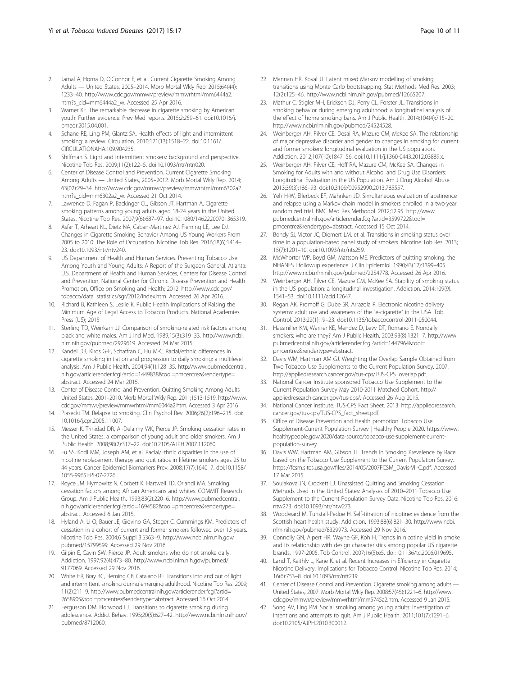- <span id="page-9-0"></span>2. Jamal A, Homa D, O'Connor E, et al. Current Cigarette Smoking Among Adults — United States, 2005–2014. Morb Mortal Wkly Rep. 2015;64(44): 1233–40. [http://www.cdc.gov/mmwr/preview/mmwrhtml/mm6444a2.](http://www.cdc.gov/mmwr/preview/mmwrhtml/mm6444a2.htm?s_cid=mm6444a2_w) [htm?s\\_cid=mm6444a2\\_w](http://www.cdc.gov/mmwr/preview/mmwrhtml/mm6444a2.htm?s_cid=mm6444a2_w). Accessed 25 Apr 2016.
- 3. Warner KE. The remarkable decrease in cigarette smoking by American youth: Further evidence. Prev Med reports. 2015;2:259–61. doi[:10.1016/j.](http://dx.doi.org/10.1016/j.pmedr.2015.04.001) [pmedr.2015.04.001.](http://dx.doi.org/10.1016/j.pmedr.2015.04.001)
- 4. Schane RE, Ling PM, Glantz SA. Health effects of light and intermittent smoking: a review. Circulation. 2010;121(13):1518–22. doi:[10.1161/](http://dx.doi.org/10.1161/CIRCULATIONAHA.109.904235) [CIRCULATIONAHA.109.904235](http://dx.doi.org/10.1161/CIRCULATIONAHA.109.904235).
- 5. Shiffman S. Light and intermittent smokers: background and perspective. Nicotine Tob Res. 2009;11(2):122–5. doi[:10.1093/ntr/ntn020.](http://dx.doi.org/10.1093/ntr/ntn020)
- 6. Center of Disease Control and Prevention. Current Cigarette Smoking Among Adults — United States, 2005–2012. Morb Mortal Wkly Rep. 2014; 63(02):29–34. [http://www.cdc.gov/mmwr/preview/mmwrhtml/mm6302a2.](http://www.cdc.gov/mmwr/preview/mmwrhtml/mm6302a2.htm?s_cid=mm6302a2_w) [htm?s\\_cid=mm6302a2\\_w](http://www.cdc.gov/mmwr/preview/mmwrhtml/mm6302a2.htm?s_cid=mm6302a2_w). Accessed 21 Oct 2014.
- 7. Lawrence D, Fagan P, Backinger CL, Gibson JT, Hartman A. Cigarette smoking patterns among young adults aged 18-24 years in the United States. Nicotine Tob Res. 2007;9(6):687–97. doi[:10.1080/14622200701365319.](http://dx.doi.org/10.1080/14622200701365319)
- Asfar T, Arheart KL, Dietz NA, Caban-Martinez AJ, Fleming LE, Lee DJ. Changes in Cigarette Smoking Behavior Among US Young Workers From 2005 to 2010: The Role of Occupation. Nicotine Tob Res. 2016;18(6):1414– 23. doi[:10.1093/ntr/ntv240](http://dx.doi.org/10.1093/ntr/ntv240).
- US Department of Health and Human Services. Preventing Tobacco Use Among Youth and Young Adults: A Report of the Surgeon General. Atlanta: U.S. Department of Health and Human Services, Centers for Disease Control and Prevention, National Center for Chronic Disease Prevention and Health Promotion, Office on Smoking and Health; 2012. [http://www.cdc.gov/](http://www.cdc.gov/tobacco/data_statistics/sgr/2012/index.htm) [tobacco/data\\_statistics/sgr/2012/index.htm.](http://www.cdc.gov/tobacco/data_statistics/sgr/2012/index.htm) Accessed 26 Apr 2016.
- 10. Richard B, Kathleen S, Leslie K. Public Health Implications of Raising the Minimum Age of Legal Access to Tobacco Products. National Academies Press (US); 2015
- 11. Sterling TD, Weinkam JJ. Comparison of smoking-related risk factors among black and white males. Am J Ind Med. 1989;15(3):319–33. [http://www.ncbi.](http://www.ncbi.nlm.nih.gov/pubmed/2929619) [nlm.nih.gov/pubmed/2929619](http://www.ncbi.nlm.nih.gov/pubmed/2929619). Accessed 24 Mar 2015.
- 12. Kandel DB, Kiros G-E, Schaffran C, Hu M-C. Racial/ethnic differences in cigarette smoking initiation and progression to daily smoking: a multilevel analysis. Am J Public Health. 2004;94(1):128–35. [http://www.pubmedcentral.](http://www.pubmedcentral.nih.gov/articlerender.fcgi?artid=1449838&tool=pmcentrez&rendertype=abstract) [nih.gov/articlerender.fcgi?artid=1449838&tool=pmcentrez&rendertype=](http://www.pubmedcentral.nih.gov/articlerender.fcgi?artid=1449838&tool=pmcentrez&rendertype=abstract) [abstract](http://www.pubmedcentral.nih.gov/articlerender.fcgi?artid=1449838&tool=pmcentrez&rendertype=abstract). Accessed 24 Mar 2015.
- 13. Center of Disease Control and Prevention. Quitting Smoking Among Adults United States, 2001–2010. Morb Mortal Wkly Rep. 2011;1513-1519. [http://www.](http://www.cdc.gov/mmwr/preview/mmwrhtml/mm6044a2.htm) [cdc.gov/mmwr/preview/mmwrhtml/mm6044a2.htm.](http://www.cdc.gov/mmwr/preview/mmwrhtml/mm6044a2.htm) Accessed 3 Apr 2016
- 14. Piasecki TM. Relapse to smoking. Clin Psychol Rev. 2006;26(2):196–215. doi: [10.1016/j.cpr.2005.11.007.](http://dx.doi.org/10.1016/j.cpr.2005.11.007)
- 15. Messer K, Trinidad DR, Al-Delaimy WK, Pierce JP. Smoking cessation rates in the United States: a comparison of young adult and older smokers. Am J Public Health. 2008;98(2):317–22. doi[:10.2105/AJPH.2007.112060](http://dx.doi.org/10.2105/AJPH.2007.112060).
- 16. Fu SS, Kodl MM, Joseph AM, et al. Racial/Ethnic disparities in the use of nicotine replacement therapy and quit ratios in lifetime smokers ages 25 to 44 years. Cancer Epidemiol Biomarkers Prev. 2008;17(7):1640–7. doi:[10.1158/](http://dx.doi.org/10.1158/1055-9965.EPI-07-2726) [1055-9965.EPI-07-2726](http://dx.doi.org/10.1158/1055-9965.EPI-07-2726).
- 17. Royce JM, Hymowitz N, Corbett K, Hartwell TD, Orlandi MA. Smoking cessation factors among African Americans and whites. COMMIT Research Group. Am J Public Health. 1993;83(2):220–6. [http://www.pubmedcentral.](http://www.pubmedcentral.nih.gov/articlerender.fcgi?artid=1694582&tool=pmcentrez&rendertype=abstract) [nih.gov/articlerender.fcgi?artid=1694582&tool=pmcentrez&rendertype=](http://www.pubmedcentral.nih.gov/articlerender.fcgi?artid=1694582&tool=pmcentrez&rendertype=abstract) [abstract](http://www.pubmedcentral.nih.gov/articlerender.fcgi?artid=1694582&tool=pmcentrez&rendertype=abstract). Accessed 6 Jan 2015.
- 18. Hyland A, Li Q, Bauer JE, Giovino GA, Steger C, Cummings KM. Predictors of cessation in a cohort of current and former smokers followed over 13 years. Nicotine Tob Res. 2004;6 Suppl 3:S363–9. [http://www.ncbi.nlm.nih.gov/](http://www.ncbi.nlm.nih.gov/pubmed/15799599) [pubmed/15799599.](http://www.ncbi.nlm.nih.gov/pubmed/15799599) Accessed 29 Nov 2016.
- 19. Gilpin E, Cavin SW, Pierce JP. Adult smokers who do not smoke daily. Addiction. 1997;92(4):473–80. [http://www.ncbi.nlm.nih.gov/pubmed/](http://www.ncbi.nlm.nih.gov/pubmed/9177069) [9177069.](http://www.ncbi.nlm.nih.gov/pubmed/9177069) Accessed 29 Nov 2016.
- 20. White HR, Bray BC, Fleming CB, Catalano RF. Transitions into and out of light and intermittent smoking during emerging adulthood. Nicotine Tob Res. 2009; 11(2):211–9. [http://www.pubmedcentral.nih.gov/articlerender.fcgi?artid=](http://www.pubmedcentral.nih.gov/articlerender.fcgi?artid=2658905&tool=pmcentrez&rendertype=abstract) [2658905&tool=pmcentrez&rendertype=abstract](http://www.pubmedcentral.nih.gov/articlerender.fcgi?artid=2658905&tool=pmcentrez&rendertype=abstract). Accessed 16 Oct 2014.
- 21. Fergusson DM, Horwood LJ. Transitions to cigarette smoking during adolescence. Addict Behav. 1995;20(5):627–42. [http://www.ncbi.nlm.nih.gov/](http://www.ncbi.nlm.nih.gov/pubmed/8712060) [pubmed/8712060.](http://www.ncbi.nlm.nih.gov/pubmed/8712060)
- 22. Mannan HR, Koval JJ. Latent mixed Markov modelling of smoking transitions using Monte Carlo bootstrapping. Stat Methods Med Res. 2003; 12(2):125–46. [http://www.ncbi.nlm.nih.gov/pubmed/12665207.](http://www.ncbi.nlm.nih.gov/pubmed/12665207)
- 23. Mathur C, Stigler MH, Erickson DJ, Perry CL, Forster JL. Transitions in smoking behavior during emerging adulthood: a longitudinal analysis of the effect of home smoking bans. Am J Public Health. 2014;104(4):715–20. [http://www.ncbi.nlm.nih.gov/pubmed/24524528.](http://www.ncbi.nlm.nih.gov/pubmed/24524528)
- 24. Weinberger AH, Pilver CE, Desai RA, Mazure CM, McKee SA. The relationship of major depressive disorder and gender to changes in smoking for current and former smokers: longitudinal evaluation in the US population. Addiction. 2012;107(10):1847–56. doi[:10.1111/j.1360-0443.2012.03889.x.](http://dx.doi.org/10.1111/j.1360-0443.2012.03889.x)
- 25. Weinberger AH, Pilver CE, Hoff RA, Mazure CM, McKee SA. Changes in Smoking for Adults with and without Alcohol and Drug Use Disorders: Longitudinal Evaluation in the US Population. Am J Drug Alcohol Abuse. 2013;39(3):186–93. doi:[10.3109/00952990.2013.785557.](http://dx.doi.org/10.3109/00952990.2013.785557)
- 26. Yeh H-W, Ellerbeck EF, Mahnken JD. Simultaneous evaluation of abstinence and relapse using a Markov chain model in smokers enrolled in a two-year randomized trial. BMC Med Res Methodol. 2012;12:95. [http://www.](http://www.pubmedcentral.nih.gov/articlerender.fcgi?artid=3599722&tool=pmcentrez&rendertype=abstract) [pubmedcentral.nih.gov/articlerender.fcgi?artid=3599722&tool=](http://www.pubmedcentral.nih.gov/articlerender.fcgi?artid=3599722&tool=pmcentrez&rendertype=abstract) [pmcentrez&rendertype=abstract.](http://www.pubmedcentral.nih.gov/articlerender.fcgi?artid=3599722&tool=pmcentrez&rendertype=abstract) Accessed 15 Oct 2014.
- Bondy SJ, Victor JC, Diemert LM, et al. Transitions in smoking status over time in a population-based panel study of smokers. Nicotine Tob Res. 2013; 15(7):1201–10. doi:[10.1093/ntr/nts259.](http://dx.doi.org/10.1093/ntr/nts259)
- 28. McWhorter WP, Boyd GM, Mattson ME. Predictors of quitting smoking: the NHANES I followup experience. J Clin Epidemiol. 1990;43(12):1399–405. <http://www.ncbi.nlm.nih.gov/pubmed/2254778>. Accessed 26 Apr 2016.
- 29. Weinberger AH, Pilver CE, Mazure CM, McKee SA. Stability of smoking status in the US population: a longitudinal investigation. Addiction. 2014;109(9): 1541–53. doi[:10.1111/add.12647.](http://dx.doi.org/10.1111/add.12647)
- 30. Regan AK, Promoff G, Dube SR, Arrazola R. Electronic nicotine delivery systems: adult use and awareness of the "e-cigarette" in the USA. Tob Control. 2013;22(1):19–23. doi:[10.1136/tobaccocontrol-2011-050044.](http://dx.doi.org/10.1136/tobaccocontrol-2011-050044)
- 31. Hassmiller KM, Warner KE, Mendez D, Levy DT, Romano E. Nondaily smokers: who are they? Am J Public Health. 2003;93(8):1321–7. [http://www.](http://www.pubmedcentral.nih.gov/articlerender.fcgi?artid=1447964&tool=pmcentrez&rendertype=abstract) [pubmedcentral.nih.gov/articlerender.fcgi?artid=1447964&tool=](http://www.pubmedcentral.nih.gov/articlerender.fcgi?artid=1447964&tool=pmcentrez&rendertype=abstract) [pmcentrez&rendertype=abstract.](http://www.pubmedcentral.nih.gov/articlerender.fcgi?artid=1447964&tool=pmcentrez&rendertype=abstract)
- 32. Davis WM, Hartman AM GJ. Weighting the Overlap Sample Obtained from Two Tobacco Use Supplements to the Current Population Survey. 2007. [http://appliedresearch.cancer.gov/tus-cps/TUS-CPS\\_overlap.pdf.](http://appliedresearch.cancer.gov/tus-cps/TUS-CPS_overlap.pdf)
- 33. National Cancer Institute sponsored Tobacco Use Supplement to the Current Population Survey May 2010-2011 Matched Cohort. [http://](http://appliedresearch.cancer.gov/tus-cps/) [appliedresearch.cancer.gov/tus-cps/](http://appliedresearch.cancer.gov/tus-cps/). Accessed 26 Aug 2015.
- 34. National Cancer Institute. TUS-CPS Fact Sheet. 2013. [http://appliedresearch.](http://appliedresearch.cancer.gov/tus-cps/TUS-CPS_fact_sheet.pdf) [cancer.gov/tus-cps/TUS-CPS\\_fact\\_sheet.pdf.](http://appliedresearch.cancer.gov/tus-cps/TUS-CPS_fact_sheet.pdf)
- 35. Office of Disease Prevention and Health promotion. Tobacco Use Supplement-Current Population Survey | Healthy People 2020. [https://www.](https://www.healthypeople.gov/2020/data-source/tobacco-use-supplement-current-population-survey) [healthypeople.gov/2020/data-source/tobacco-use-supplement-current](https://www.healthypeople.gov/2020/data-source/tobacco-use-supplement-current-population-survey)[population-survey.](https://www.healthypeople.gov/2020/data-source/tobacco-use-supplement-current-population-survey)
- 36. Davis WW, Hartman AM, Gibson JT. Trends in Smoking Prevalence by Race based on the Tobacco Use Supplement to the Current Population Survey. [https://fcsm.sites.usa.gov/files/2014/05/2007FCSM\\_Davis-VII-C.pdf.](https://fcsm.sites.usa.gov/files/2014/05/2007FCSM_Davis-VII-C.pdf) Accessed 17 Mar 2015.
- 37. Soulakova JN, Crockett LJ. Unassisted Quitting and Smoking Cessation Methods Used in the United States: Analyses of 2010–2011 Tobacco Use Supplement to the Current Population Survey Data. Nicotine Tob Res. 2016: ntw273. doi:[10.1093/ntr/ntw273.](http://dx.doi.org/10.1093/ntr/ntw273)
- 38. Woodward M, Tunstall-Pedoe H. Self-titration of nicotine: evidence from the Scottish heart health study. Addiction. 1993;88(6):821–30. [http://www.ncbi.](http://www.ncbi.nlm.nih.gov/pubmed/8329973) [nlm.nih.gov/pubmed/8329973](http://www.ncbi.nlm.nih.gov/pubmed/8329973). Accessed 29 Nov 2016.
- 39. Connolly GN, Alpert HR, Wayne GF, Koh H. Trends in nicotine yield in smoke and its relationship with design characteristics among popular US cigarette brands, 1997-2005. Tob Control. 2007;16(5):e5. doi:[10.1136/tc.2006.019695.](http://dx.doi.org/10.1136/tc.2006.019695)
- 40. Land T, Keithly L, Kane K, et al. Recent Increases in Efficiency in Cigarette Nicotine Delivery: Implications for Tobacco Control. Nicotine Tob Res. 2014; 16(6):753–8. doi:[10.1093/ntr/ntt219.](http://dx.doi.org/10.1093/ntr/ntt219)
- 41. Center of Disease Control and Prevention. Cigarette smoking among adults United States, 2007. Morb Mortal Wkly Rep. 2008;57(45):1221–6. [http://www.](http://www.cdc.gov/mmwr/preview/mmwrhtml/mm5745a2.htm) [cdc.gov/mmwr/preview/mmwrhtml/mm5745a2.htm.](http://www.cdc.gov/mmwr/preview/mmwrhtml/mm5745a2.htm) Accessed 9 Jan 2015.
- 42. Song AV, Ling PM. Social smoking among young adults: investigation of intentions and attempts to quit. Am J Public Health. 2011;101(7):1291–6. doi[:10.2105/AJPH.2010.300012](http://dx.doi.org/10.2105/AJPH.2010.300012).